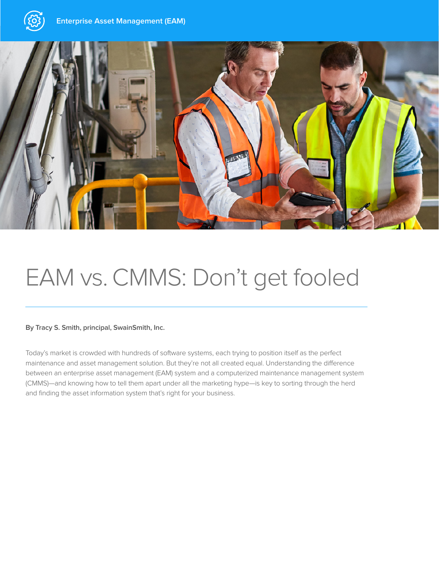



# EAM vs. CMMS: Don't get fooled

#### **By Tracy S. Smith, principal, SwainSmith, Inc.**

Today's market is crowded with hundreds of software systems, each trying to position itself as the perfect maintenance and asset management solution. But they're not all created equal. Understanding the difference between an enterprise asset management (EAM) system and a computerized maintenance management system (CMMS)—and knowing how to tell them apart under all the marketing hype—is key to sorting through the herd and finding the asset information system that's right for your business.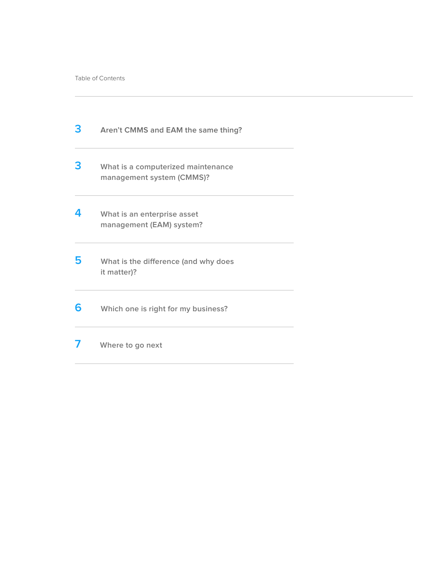| 3 | Aren't CMMS and EAM the same thing?                             |  |
|---|-----------------------------------------------------------------|--|
| 3 | What is a computerized maintenance<br>management system (CMMS)? |  |
| 4 | What is an enterprise asset<br>management (EAM) system?         |  |
| 5 | What is the difference (and why does<br>it matter)?             |  |
| 6 | Which one is right for my business?                             |  |
|   | Where to go next                                                |  |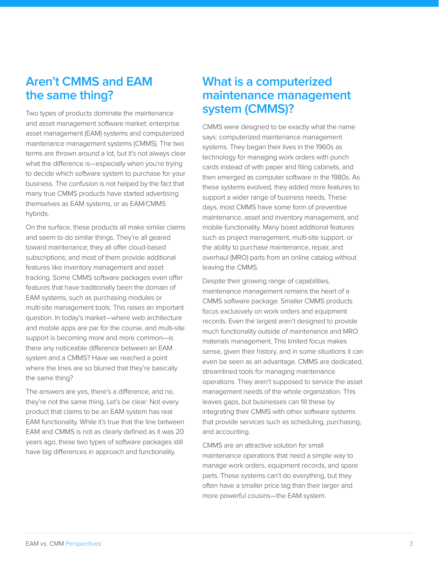### **Aren't CMMS and EAM the same thing?**

Two types of products dominate the maintenance and asset management software market: enterprise asset management (EAM) systems and computerized maintenance management systems (CMMS). The two terms are thrown around a lot, but it's not always clear what the difference is—especially when you're trying to decide which software system to purchase for your business. The confusion is not helped by the fact that many true CMMS products have started advertising themselves as EAM systems, or as EAM/CMMS hybrids.

On the surface, these products all make similar claims and seem to do similar things. They're all geared toward maintenance; they all offer cloud-based subscriptions; and most of them provide additional features like inventory management and asset tracking. Some CMMS software packages even offer features that have traditionally been the domain of EAM systems, such as purchasing modules or multi-site management tools. This raises an important question. In today's market—where web architecture and mobile apps are par for the course, and multi-site support is becoming more and more common—is there any noticeable difference between an EAM system and a CMMS? Have we reached a point where the lines are so blurred that they're basically the same thing?

The answers are yes, there's a difference, and no, they're not the same thing. Let's be clear: Not every product that claims to be an EAM system has real EAM functionality. While it's true that the line between EAM and CMMS is not as clearly defined as it was 20 years ago, these two types of software packages still have big differences in approach and functionality.

### **What is a computerized maintenance management system (CMMS)?**

CMMS were designed to be exactly what the name says: computerized maintenance management systems. They began their lives in the 1960s as technology for managing work orders with punch cards instead of with paper and filing cabinets, and then emerged as computer software in the 1980s. As these systems evolved, they added more features to support a wider range of business needs. These days, most CMMS have some form of preventive maintenance, asset and inventory management, and mobile functionality. Many boast additional features such as project management, multi-site support, or the ability to purchase maintenance, repair, and overhaul (MRO) parts from an online catalog without leaving the CMMS.

Despite their growing range of capabilities, maintenance management remains the heart of a CMMS software package. Smaller CMMS products focus exclusively on work orders and equipment records. Even the largest aren't designed to provide much functionality outside of maintenance and MRO materials management. This limited focus makes sense, given their history, and in some situations it can even be seen as an advantage. CMMS are dedicated, streamlined tools for managing maintenance operations. They aren't supposed to service the asset management needs of the whole organization. This leaves gaps, but businesses can fill these by integrating their CMMS with other software systems that provide services such as scheduling, purchasing, and accounting.

CMMS are an attractive solution for small maintenance operations that need a simple way to manage work orders, equipment records, and spare parts. These systems can't do everything, but they often have a smaller price tag than their larger and more powerful cousins—the EAM system.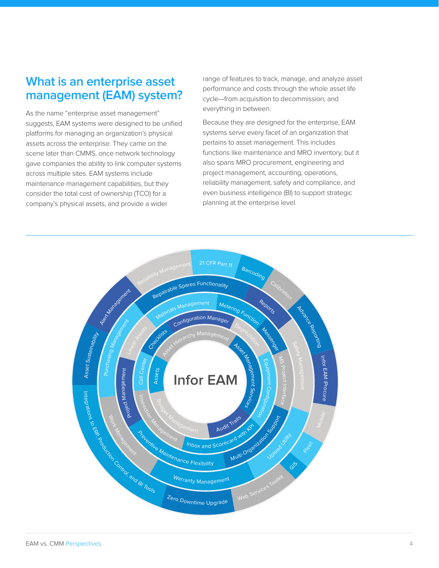#### **What is an enterprise asset management (EAM) system?**

As the name "enterprise asset management" suggests, EAM systems were designed to be unified platforms for managing an organization's physical assets across the enterprise. They came on the scene later than CMMS, once network technology gave companies the ability to link computer systems across multiple sites. EAM systems include maintenance management capabilities, but they consider the total cost of ownership (TCO) for a company's physical assets, and provide a wider

range of features to track, manage, and analyze asset performance and costs through the whole asset life cycle—from acquisition to decommission, and everything in between.

Because they are designed for the enterprise, EAM systems serve every facet of an organization that pertains to asset management. This includes functions like maintenance and MRO inventory, but it also spans MRO procurement, engineering and project management, accounting, operations, reliability management, safety and compliance, and even business intelligence (BI) to support strategic planning at the enterprise level.

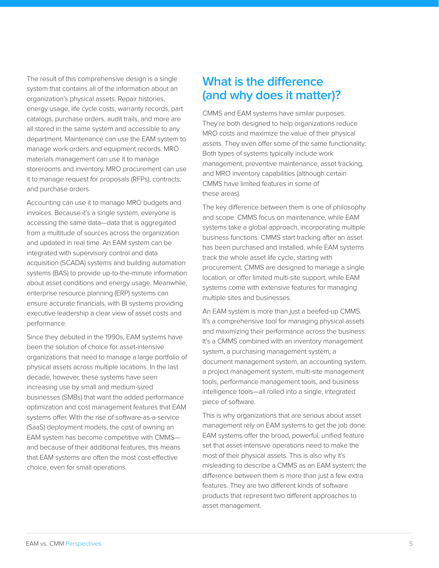The result of this comprehensive design is a single system that contains all of the information about an organization's physical assets. Repair histories, energy usage, life cycle costs, warranty records, part catalogs, purchase orders, audit trails, and more are all stored in the same system and accessible to any department. Maintenance can use the EAM system to manage work orders and equipment records. MRO materials management can use it to manage storerooms and inventory. MRO procurement can use it to manage request for proposals (RFPs), contracts, and purchase orders.

Accounting can use it to manage MRO budgets and invoices. Because it's a single system, everyone is accessing the same data—data that is aggregated from a multitude of sources across the organization and updated in real time. An EAM system can be integrated with supervisory control and data acquisition (SCADA) systems and building automation systems (BAS) to provide up-to-the-minute information about asset conditions and energy usage. Meanwhile, enterprise resource planning (ERP) systems can ensure accurate financials, with BI systems providing executive leadership a clear view of asset costs and performance.

Since they debuted in the 1990s, EAM systems have been the solution of choice for asset-intensive organizations that need to manage a large portfolio of physical assets across multiple locations. In the last decade, however, these systems have seen increasing use by small and medium-sized businesses (SMBs) that want the added performance optimization and cost management features that EAM systems offer. With the rise of software-as-a-service (SaaS) deployment models, the cost of owning an EAM system has become competitive with CMMS and because of their additional features, this means that EAM systems are often the most cost-effective choice, even for small operations.

#### **What is the difference (and why does it matter)?**

CMMS and EAM systems have similar purposes. They're both designed to help organizations reduce MRO costs and maximize the value of their physical assets. They even offer some of the same functionality: Both types of systems typically include work management, preventive maintenance, asset tracking, and MRO inventory capabilities (although certain CMMS have limited features in some of these areas).

The key difference between them is one of philosophy and scope. CMMS focus on maintenance, while EAM systems take a global approach, incorporating multiple business functions. CMMS start tracking after an asset has been purchased and installed, while EAM systems track the whole asset life cycle, starting with procurement. CMMS are designed to manage a single location, or offer limited multi-site support, while EAM systems come with extensive features for managing multiple sites and businesses.

An EAM system is more than just a beefed-up CMMS. It's a comprehensive tool for managing physical assets and maximizing their performance across the business. It's a CMMS combined with an inventory management system, a purchasing management system, a document management system, an accounting system, a project management system, multi-site management tools, performance management tools, and business intelligence tools—all rolled into a single, integrated piece of software.

This is why organizations that are serious about asset management rely on EAM systems to get the job done: EAM systems offer the broad, powerful, unified feature set that asset-intensive operations need to make the most of their physical assets. This is also why it's misleading to describe a CMMS as an EAM system; the difference between them is more than just a few extra features. They are two different kinds of software products that represent two different approaches to asset management.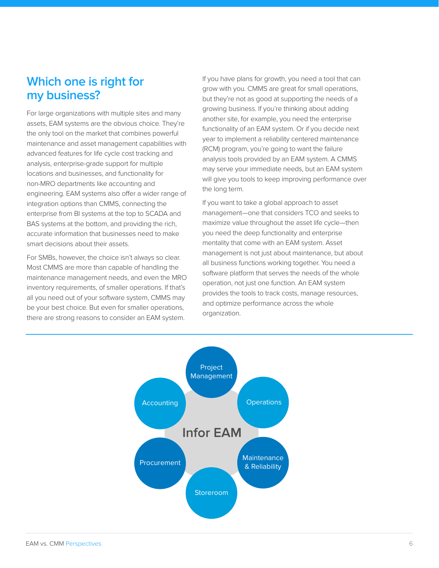## **Which one is right for my business?**

For large organizations with multiple sites and many assets, EAM systems are the obvious choice. They're the only tool on the market that combines powerful maintenance and asset management capabilities with advanced features for life cycle cost tracking and analysis, enterprise-grade support for multiple locations and businesses, and functionality for non-MRO departments like accounting and engineering. EAM systems also offer a wider range of integration options than CMMS, connecting the enterprise from BI systems at the top to SCADA and BAS systems at the bottom, and providing the rich, accurate information that businesses need to make smart decisions about their assets.

For SMBs, however, the choice isn't always so clear. Most CMMS are more than capable of handling the maintenance management needs, and even the MRO inventory requirements, of smaller operations. If that's all you need out of your software system, CMMS may be your best choice. But even for smaller operations, there are strong reasons to consider an EAM system.

If you have plans for growth, you need a tool that can grow with you. CMMS are great for small operations, but they're not as good at supporting the needs of a growing business. If you're thinking about adding another site, for example, you need the enterprise functionality of an EAM system. Or if you decide next year to implement a reliability centered maintenance (RCM) program, you're going to want the failure analysis tools provided by an EAM system. A CMMS may serve your immediate needs, but an EAM system will give you tools to keep improving performance over the long term.

If you want to take a global approach to asset management—one that considers TCO and seeks to maximize value throughout the asset life cycle—then you need the deep functionality and enterprise mentality that come with an EAM system. Asset management is not just about maintenance, but about all business functions working together. You need a software platform that serves the needs of the whole operation, not just one function. An EAM system provides the tools to track costs, manage resources, and optimize performance across the whole organization.